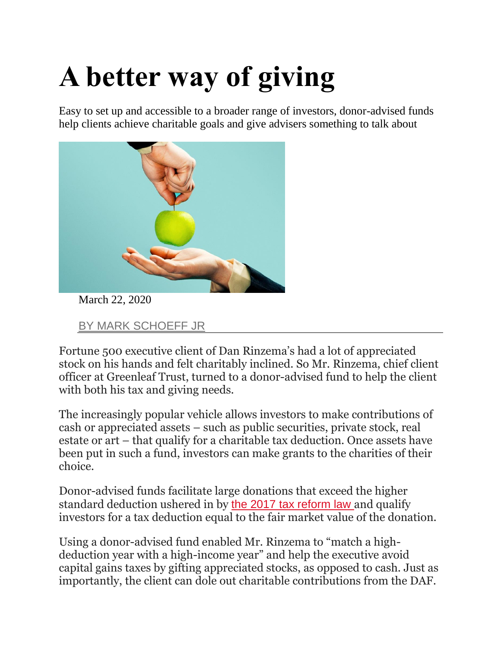## **A better way of giving**

Easy to set up and accessible to a broader range of investors, donor-advised funds help clients achieve charitable goals and give advisers something to talk about



March 22, 2020

[BY MARK SCHOEFF JR](https://www.investmentnews.com/author/markschoeffjr)

Fortune 500 executive client of Dan Rinzema's had a lot of appreciated stock on his hands and felt charitably inclined. So Mr. Rinzema, chief client officer at Greenleaf Trust, turned to a donor-advised fund to help the client with both his tax and giving needs.

The increasingly popular vehicle allows investors to make contributions of cash or appreciated assets – such as public securities, private stock, real estate or art – that qualify for a charitable tax deduction. Once assets have been put in such a fund, investors can make grants to the charities of their choice.

Donor-advised funds facilitate large donations that exceed the higher standard deduction ushered in by [the 2017 tax reform law](https://www.investmentnews.com/interest-in-donor-advised-funds-surges-in-response-to-tax-changes-72997) and qualify investors for a tax deduction equal to the fair market value of the donation.

Using a donor-advised fund enabled Mr. Rinzema to "match a highdeduction year with a high-income year" and help the executive avoid capital gains taxes by gifting appreciated stocks, as opposed to cash. Just as importantly, the client can dole out charitable contributions from the DAF.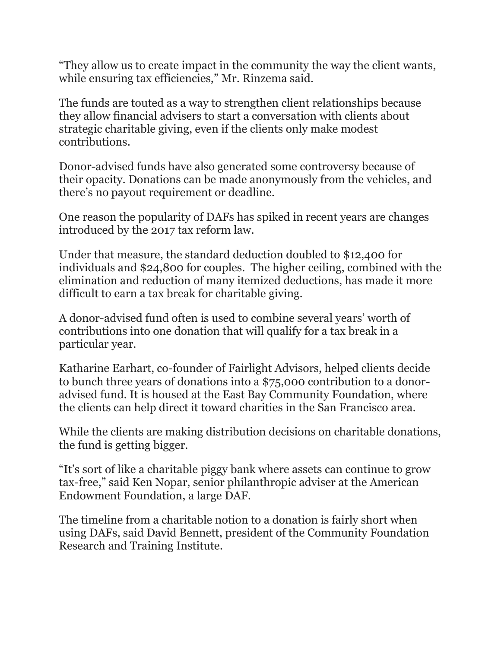"They allow us to create impact in the community the way the client wants, while ensuring tax efficiencies," Mr. Rinzema said.

The funds are touted as a way to strengthen client relationships because they allow financial advisers to start a conversation with clients about strategic charitable giving, even if the clients only make modest contributions.

Donor-advised funds have also generated some controversy because of their opacity. Donations can be made anonymously from the vehicles, and there's no payout requirement or deadline.

One reason the popularity of DAFs has spiked in recent years are changes introduced by the 2017 tax reform law.

Under that measure, the standard deduction doubled to \$12,400 for individuals and \$24,800 for couples. The higher ceiling, combined with the elimination and reduction of many itemized deductions, has made it more difficult to earn a tax break for charitable giving.

A donor-advised fund often is used to combine several years' worth of contributions into one donation that will qualify for a tax break in a particular year.

Katharine Earhart, co-founder of Fairlight Advisors, helped clients decide to bunch three years of donations into a \$75,000 contribution to a donoradvised fund. It is housed at the East Bay Community Foundation, where the clients can help direct it toward charities in the San Francisco area.

While the clients are making distribution decisions on charitable donations, the fund is getting bigger.

"It's sort of like a charitable piggy bank where assets can continue to grow tax-free," said Ken Nopar, senior philanthropic adviser at the American Endowment Foundation, a large DAF.

The timeline from a charitable notion to a donation is fairly short when using DAFs, said David Bennett, president of the Community Foundation Research and Training Institute.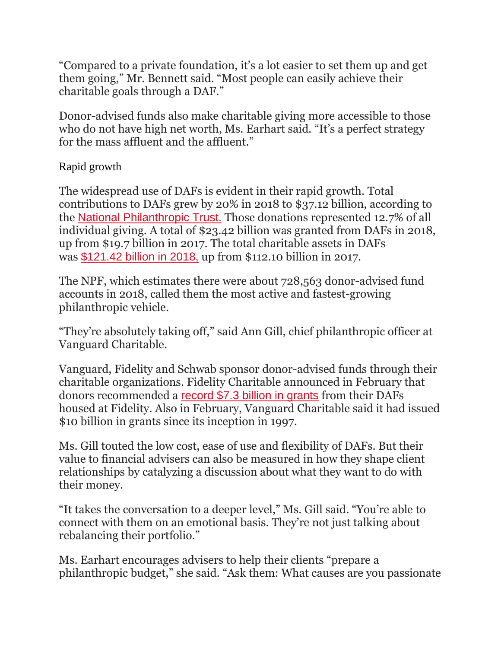"Compared to a private foundation, it's a lot easier to set them up and get them going," Mr. Bennett said. "Most people can easily achieve their charitable goals through a DAF."

Donor-advised funds also make charitable giving more accessible to those who do not have high net worth, Ms. Earhart said. "It's a perfect strategy for the mass affluent and the affluent."

## Rapid growth

The widespread use of DAFs is evident in their rapid growth. Total contributions to DAFs grew by 20% in 2018 to \$37.12 billion, according to the [National Philanthropic Trust.](https://www.nptrust.org/reports/daf-report/) Those donations represented 12.7% of all individual giving. A total of \$23.42 billion was granted from DAFs in 2018, up from \$19.7 billion in 2017. The total charitable assets in DAFs was [\\$121.42 billion in 2018,](https://www.investmentnews.com/wealthy-amass-record-121-billion-in-tax-sheltered-accounts-170667) up from \$112.10 billion in 2017.

The NPF, which estimates there were about 728,563 donor-advised fund accounts in 2018, called them the most active and fastest-growing philanthropic vehicle.

"They're absolutely taking off," said Ann Gill, chief philanthropic officer at Vanguard Charitable.

Vanguard, Fidelity and Schwab sponsor donor-advised funds through their charitable organizations. Fidelity Charitable announced in February that donors recommended a [record \\$7.3 billion in grants](https://www.investmentnews.com/fidelitys-donor-advised-fund-saw-7-3-billion-in-gift-giving-in-2019-188199) from their DAFs housed at Fidelity. Also in February, Vanguard Charitable said it had issued \$10 billion in grants since its inception in 1997.

Ms. Gill touted the low cost, ease of use and flexibility of DAFs. But their value to financial advisers can also be measured in how they shape client relationships by catalyzing a discussion about what they want to do with their money.

"It takes the conversation to a deeper level," Ms. Gill said. "You're able to connect with them on an emotional basis. They're not just talking about rebalancing their portfolio."

Ms. Earhart encourages advisers to help their clients "prepare a philanthropic budget," she said. "Ask them: What causes are you passionate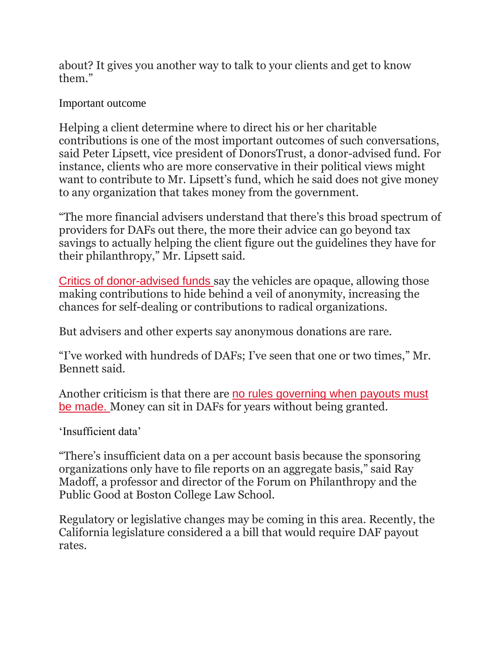about? It gives you another way to talk to your clients and get to know them."

## Important outcome

Helping a client determine where to direct his or her charitable contributions is one of the most important outcomes of such conversations, said Peter Lipsett, vice president of DonorsTrust, a donor-advised fund. For instance, clients who are more conservative in their political views might want to contribute to Mr. Lipsett's fund, which he said does not give money to any organization that takes money from the government.

"The more financial advisers understand that there's this broad spectrum of providers for DAFs out there, the more their advice can go beyond tax savings to actually helping the client figure out the guidelines they have for their philanthropy," Mr. Lipsett said.

[Critics of donor-advised funds](https://www.investmentnews.com/as-donor-advised-funds-grow-in-popularity-they-may-draw-more-scrutiny-78403) say the vehicles are opaque, allowing those making contributions to hide behind a veil of anonymity, increasing the chances for self-dealing or contributions to radical organizations.

But advisers and other experts say anonymous donations are rare.

"I've worked with hundreds of DAFs; I've seen that one or two times," Mr. Bennett said.

Another criticism is that there are [no rules governing when payouts must](https://www.investmentnews.com/super-rich-are-piling-up-wealth-in-black-box-charities-76358)  [be made.](https://www.investmentnews.com/super-rich-are-piling-up-wealth-in-black-box-charities-76358) Money can sit in DAFs for years without being granted.

'Insufficient data'

"There's insufficient data on a per account basis because the sponsoring organizations only have to file reports on an aggregate basis," said Ray Madoff, a professor and director of the Forum on Philanthropy and the Public Good at Boston College Law School.

Regulatory or legislative changes may be coming in this area. Recently, the California legislature considered a a bill that would require DAF payout rates.